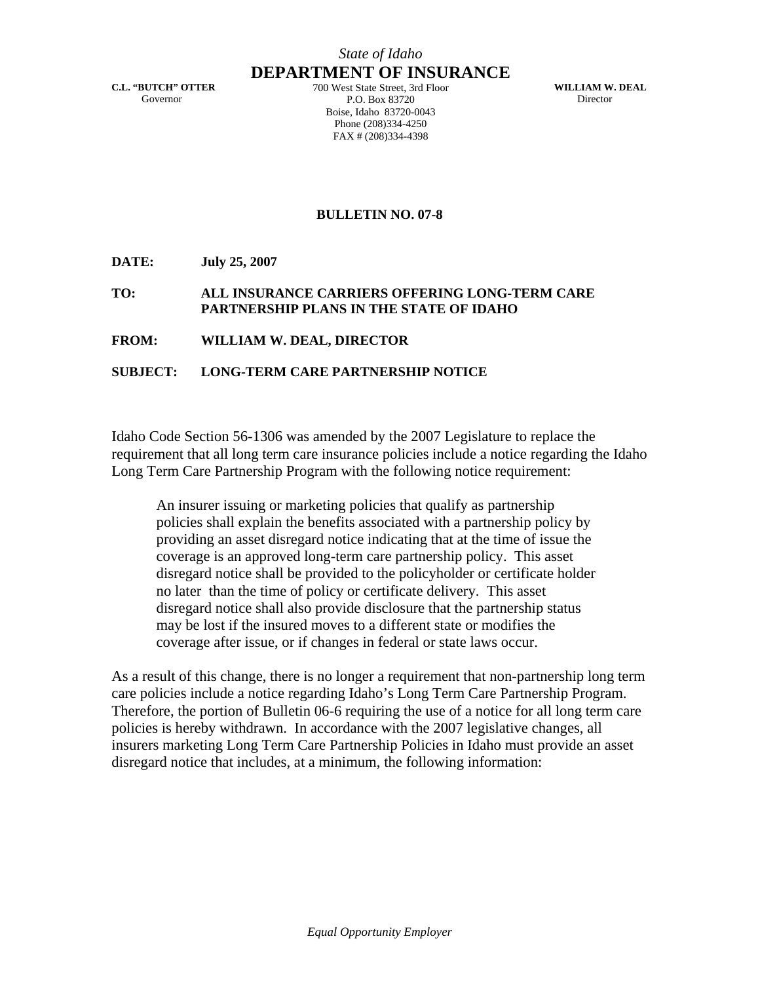## *State of Idaho* **DEPARTMENT OF INSURANCE**

**C.L. "BUTCH" OTTER**  Governor

700 West State Street, 3rd Floor P.O. Box 83720 Boise, Idaho 83720-0043 Phone (208)334-4250 FAX # (208)334-4398

**WILLIAM W. DEAL**  Director

## **BULLETIN NO. 07-8**

**DATE: July 25, 2007** 

#### **TO: ALL INSURANCE CARRIERS OFFERING LONG-TERM CARE PARTNERSHIP PLANS IN THE STATE OF IDAHO**

#### **FROM: WILLIAM W. DEAL, DIRECTOR**

#### **SUBJECT: LONG-TERM CARE PARTNERSHIP NOTICE**

Idaho Code Section 56-1306 was amended by the 2007 Legislature to replace the requirement that all long term care insurance policies include a notice regarding the Idaho Long Term Care Partnership Program with the following notice requirement:

An insurer issuing or marketing policies that qualify as partnership policies shall explain the benefits associated with a partnership policy by providing an asset disregard notice indicating that at the time of issue the coverage is an approved long-term care partnership policy. This asset disregard notice shall be provided to the policyholder or certificate holder no later than the time of policy or certificate delivery. This asset disregard notice shall also provide disclosure that the partnership status may be lost if the insured moves to a different state or modifies the coverage after issue, or if changes in federal or state laws occur.

As a result of this change, there is no longer a requirement that non-partnership long term care policies include a notice regarding Idaho's Long Term Care Partnership Program. Therefore, the portion of Bulletin 06-6 requiring the use of a notice for all long term care policies is hereby withdrawn. In accordance with the 2007 legislative changes, all insurers marketing Long Term Care Partnership Policies in Idaho must provide an asset disregard notice that includes, at a minimum, the following information: